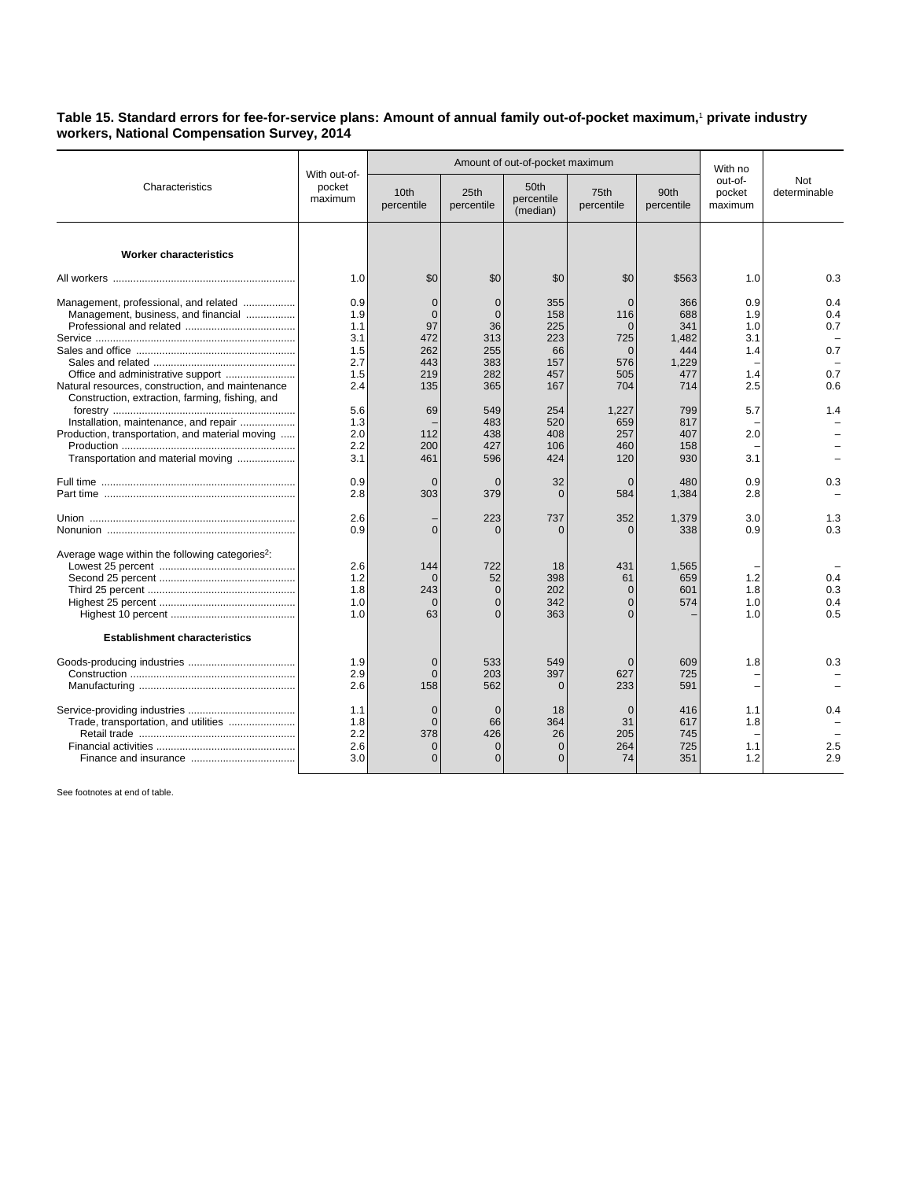## **Table 15. Standard errors for fee-for-service plans: Amount of annual family out-of-pocket maximum,**<sup>1</sup>  **private industry workers, National Compensation Survey, 2014**

| Characteristics                                                                                                                                                                     | With out-of-<br>pocket<br>maximum                           |                                                                     | Amount of out-of-pocket maximum                                      | With no                                                    |                                                                              |                                                                 |                                                      |                                               |
|-------------------------------------------------------------------------------------------------------------------------------------------------------------------------------------|-------------------------------------------------------------|---------------------------------------------------------------------|----------------------------------------------------------------------|------------------------------------------------------------|------------------------------------------------------------------------------|-----------------------------------------------------------------|------------------------------------------------------|-----------------------------------------------|
|                                                                                                                                                                                     |                                                             | 10th<br>percentile                                                  | 25th<br>percentile                                                   | 50th<br>percentile<br>(median)                             | 75th<br>percentile                                                           | 90th<br>percentile                                              | out-of-<br>pocket<br>maximum                         | Not<br>determinable                           |
| <b>Worker characteristics</b>                                                                                                                                                       |                                                             |                                                                     |                                                                      |                                                            |                                                                              |                                                                 |                                                      |                                               |
|                                                                                                                                                                                     | 1.0                                                         | \$0                                                                 | \$0                                                                  | \$0                                                        | \$0                                                                          | \$563                                                           | 1.0                                                  | 0.3                                           |
| Management, professional, and related<br>Management, business, and financial<br>Natural resources, construction, and maintenance<br>Construction, extraction, farming, fishing, and | 0.9<br>1.9<br>1.1<br>3.1<br>1.5<br>2.7<br>1.5<br>2.4<br>5.6 | $\Omega$<br>$\Omega$<br>97<br>472<br>262<br>443<br>219<br>135<br>69 | $\Omega$<br>$\Omega$<br>36<br>313<br>255<br>383<br>282<br>365<br>549 | 355<br>158<br>225<br>223<br>66<br>157<br>457<br>167<br>254 | $\Omega$<br>116<br>$\Omega$<br>725<br>$\Omega$<br>576<br>505<br>704<br>1,227 | 366<br>688<br>341<br>1,482<br>444<br>1,229<br>477<br>714<br>799 | 0.9<br>1.9<br>1.0<br>3.1<br>1.4<br>1.4<br>2.5<br>5.7 | 0.4<br>0.4<br>0.7<br>0.7<br>0.7<br>0.6<br>1.4 |
| Installation, maintenance, and repair<br>Production, transportation, and material moving<br>Transportation and material moving                                                      | 1.3<br>2.0<br>2.2<br>3.1                                    | 112<br>200<br>461                                                   | 483<br>438<br>427<br>596                                             | 520<br>408<br>106<br>424                                   | 659<br>257<br>460<br>120                                                     | 817<br>407<br>158<br>930                                        | 2.0<br>3.1                                           |                                               |
|                                                                                                                                                                                     | 0.9<br>2.8                                                  | $\mathbf 0$<br>303                                                  | $\Omega$<br>379                                                      | 32<br>$\Omega$                                             | $\mathbf 0$<br>584                                                           | 480<br>1,384                                                    | 0.9<br>2.8                                           | 0.3                                           |
|                                                                                                                                                                                     | 2.6<br>0.9                                                  | $\Omega$                                                            | 223<br>$\Omega$                                                      | 737<br>$\Omega$                                            | 352<br>$\Omega$                                                              | 1,379<br>338                                                    | 3.0<br>0.9                                           | 1.3<br>0.3                                    |
| Average wage within the following categories <sup>2</sup> :                                                                                                                         | 2.6<br>1.2<br>1.8<br>1.0<br>1.0                             | 144<br>$\Omega$<br>243<br>$\Omega$<br>63                            | 722<br>52<br>$\overline{0}$<br>$\Omega$<br>$\Omega$                  | 18<br>398<br>202<br>342<br>363                             | 431<br>61<br>$\mathbf 0$<br>$\Omega$<br>$\Omega$                             | 1,565<br>659<br>601<br>574                                      | 1.2<br>1.8<br>1.0<br>1.0                             | 0.4<br>0.3<br>0.4<br>0.5                      |
| <b>Establishment characteristics</b>                                                                                                                                                |                                                             |                                                                     |                                                                      |                                                            |                                                                              |                                                                 |                                                      |                                               |
|                                                                                                                                                                                     | 1.9<br>2.9<br>2.6                                           | 0<br>$\Omega$<br>158                                                | 533<br>203<br>562                                                    | 549<br>397<br>$\Omega$                                     | $\Omega$<br>627<br>233                                                       | 609<br>725<br>591                                               | 1.8                                                  | 0.3                                           |
|                                                                                                                                                                                     | 1.1<br>1.8<br>2.2<br>2.6<br>3.0                             | $\overline{0}$<br>$\Omega$<br>378<br>$\Omega$<br>$\Omega$           | $\Omega$<br>66<br>426<br>$\Omega$<br>$\Omega$                        | 18<br>364<br>26<br>$\Omega$<br>$\Omega$                    | $\Omega$<br>31<br>205<br>264<br>74                                           | 416<br>617<br>745<br>725<br>351                                 | 1.1<br>1.8<br>1.1<br>1.2                             | 0.4<br>2.5<br>2.9                             |

See footnotes at end of table.